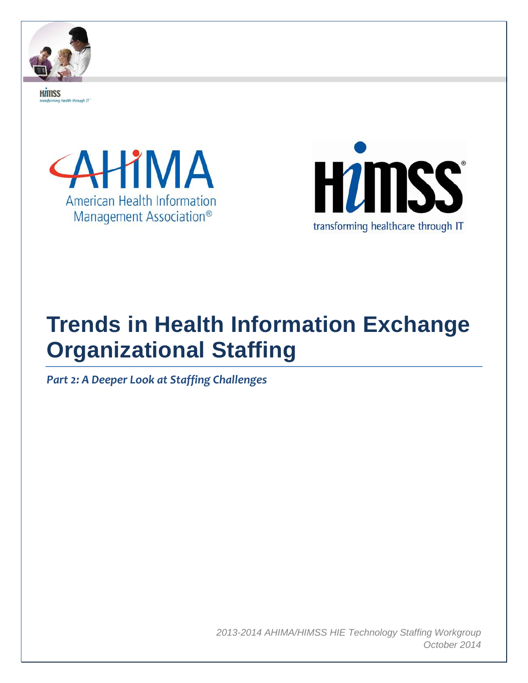

**HZINSS** alth through IT





# **Trends in Health Information Exchange Organizational Staffing**

*Part 2: A Deeper Look at Staffing Challenges*

*2013-2014 AHIMA/HIMSS HIE Technology Staffing Workgroup October 2014*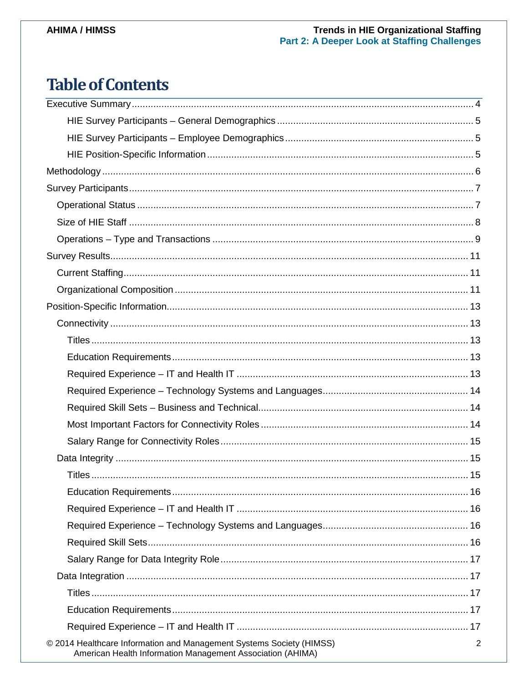# Trends in HIE Organizational Staffing<br>Part 2: A Deeper Look at Staffing Challenges

## **Table of Contents**

| © 2014 Healthcare Information and Management Systems Society (HIMSS)<br>American Health Information Management Association (AHIMA) | 2 |
|------------------------------------------------------------------------------------------------------------------------------------|---|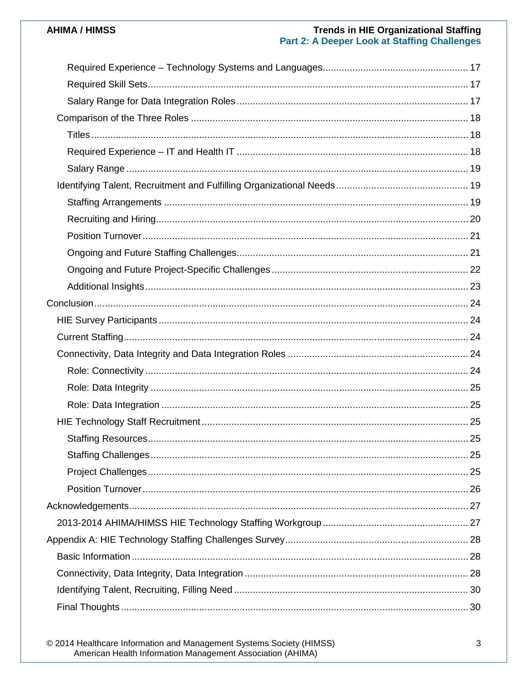# Trends in HIE Organizational Staffing<br>Part 2: A Deeper Look at Staffing Challenges

© 2014 Healthcare Information and Management Systems Society (HIMSS)<br>American Health Information Management Association (AHIMA)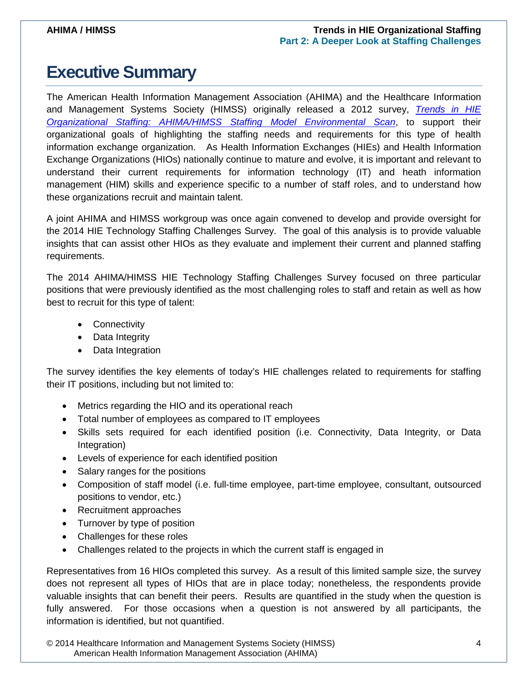## <span id="page-3-0"></span>**Executive Summary**

The American Health Information Management Association (AHIMA) and the Healthcare Information and Management Systems Society (HIMSS) originally released a 2012 survey, *[Trends in HIE](http://www.himss.org/ResourceLibrary/genResourceDetailPDF.aspx?ItemNumber=31182)  [Organizational Staffing: AHIMA/HIMSS Staffing Model Environmental Scan](http://www.himss.org/ResourceLibrary/genResourceDetailPDF.aspx?ItemNumber=31182)*, to support their organizational goals of highlighting the staffing needs and requirements for this type of health information exchange organization. As Health Information Exchanges (HIEs) and Health Information Exchange Organizations (HIOs) nationally continue to mature and evolve, it is important and relevant to understand their current requirements for information technology (IT) and heath information management (HIM) skills and experience specific to a number of staff roles, and to understand how these organizations recruit and maintain talent.

A joint AHIMA and HIMSS workgroup was once again convened to develop and provide oversight for the 2014 HIE Technology Staffing Challenges Survey. The goal of this analysis is to provide valuable insights that can assist other HIOs as they evaluate and implement their current and planned staffing requirements.

The 2014 AHIMA/HIMSS HIE Technology Staffing Challenges Survey focused on three particular positions that were previously identified as the most challenging roles to staff and retain as well as how best to recruit for this type of talent:

- Connectivity
- Data Integrity
- Data Integration

The survey identifies the key elements of today's HIE challenges related to requirements for staffing their IT positions, including but not limited to:

- Metrics regarding the HIO and its operational reach
- Total number of employees as compared to IT employees
- Skills sets required for each identified position (i.e. Connectivity, Data Integrity, or Data Integration)
- Levels of experience for each identified position
- Salary ranges for the positions
- Composition of staff model (i.e. full-time employee, part-time employee, consultant, outsourced positions to vendor, etc.)
- Recruitment approaches
- Turnover by type of position
- Challenges for these roles
- Challenges related to the projects in which the current staff is engaged in

Representatives from 16 HIOs completed this survey. As a result of this limited sample size, the survey does not represent all types of HIOs that are in place today; nonetheless, the respondents provide valuable insights that can benefit their peers. Results are quantified in the study when the question is fully answered. For those occasions when a question is not answered by all participants, the information is identified, but not quantified.

© 2014 Healthcare Information and Management Systems Society (HIMSS) 4 American Health Information Management Association (AHIMA)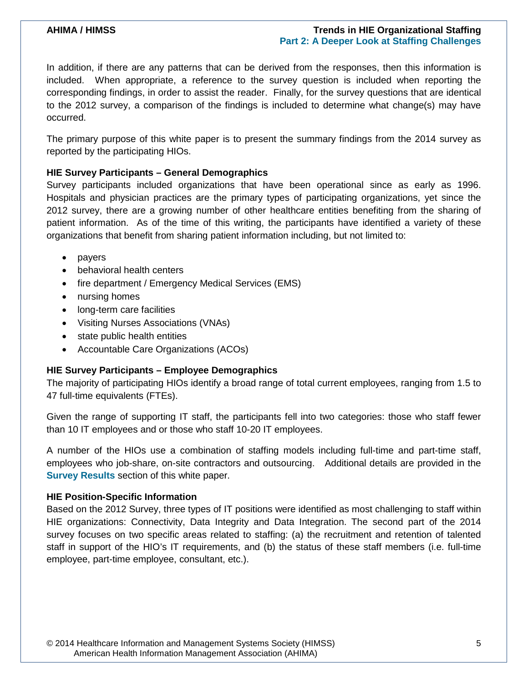In addition, if there are any patterns that can be derived from the responses, then this information is included. When appropriate, a reference to the survey question is included when reporting the corresponding findings, in order to assist the reader. Finally, for the survey questions that are identical to the 2012 survey, a comparison of the findings is included to determine what change(s) may have occurred.

The primary purpose of this white paper is to present the summary findings from the 2014 survey as reported by the participating HIOs.

#### <span id="page-4-0"></span>**HIE Survey Participants – General Demographics**

Survey participants included organizations that have been operational since as early as 1996. Hospitals and physician practices are the primary types of participating organizations, yet since the 2012 survey, there are a growing number of other healthcare entities benefiting from the sharing of patient information. As of the time of this writing, the participants have identified a variety of these organizations that benefit from sharing patient information including, but not limited to:

- payers
- behavioral health centers
- fire department / Emergency Medical Services (EMS)
- nursing homes
- long-term care facilities
- Visiting Nurses Associations (VNAs)
- state public health entities
- Accountable Care Organizations (ACOs)

#### <span id="page-4-1"></span>**HIE Survey Participants – Employee Demographics**

The majority of participating HIOs identify a broad range of total current employees, ranging from 1.5 to 47 full-time equivalents (FTEs).

Given the range of supporting IT staff, the participants fell into two categories: those who staff fewer than 10 IT employees and or those who staff 10-20 IT employees.

A number of the HIOs use a combination of staffing models including full-time and part-time staff, employees who job-share, on-site contractors and outsourcing. Additional details are provided in the **[Survey Results](#page-10-0)** section of this white paper.

#### <span id="page-4-2"></span>**HIE Position-Specific Information**

Based on the 2012 Survey, three types of IT positions were identified as most challenging to staff within HIE organizations: Connectivity, Data Integrity and Data Integration. The second part of the 2014 survey focuses on two specific areas related to staffing: (a) the recruitment and retention of talented staff in support of the HIO's IT requirements, and (b) the status of these staff members (i.e. full-time employee, part-time employee, consultant, etc.).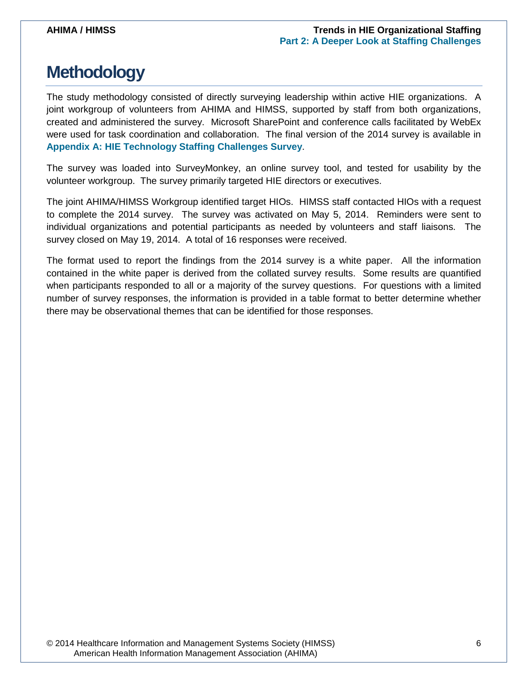## <span id="page-5-0"></span>**Methodology**

The study methodology consisted of directly surveying leadership within active HIE organizations. A joint workgroup of volunteers from AHIMA and HIMSS, supported by staff from both organizations, created and administered the survey. Microsoft SharePoint and conference calls facilitated by WebEx were used for task coordination and collaboration. The final version of the 2014 survey is available in **[Appendix A: HIE Technology Staffing Challenges Survey](#page-26-2)**.

The survey was loaded into SurveyMonkey, an online survey tool, and tested for usability by the volunteer workgroup. The survey primarily targeted HIE directors or executives.

The joint AHIMA/HIMSS Workgroup identified target HIOs. HIMSS staff contacted HIOs with a request to complete the 2014 survey. The survey was activated on May 5, 2014. Reminders were sent to individual organizations and potential participants as needed by volunteers and staff liaisons. The survey closed on May 19, 2014. A total of 16 responses were received.

The format used to report the findings from the 2014 survey is a white paper. All the information contained in the white paper is derived from the collated survey results. Some results are quantified when participants responded to all or a majority of the survey questions. For questions with a limited number of survey responses, the information is provided in a table format to better determine whether there may be observational themes that can be identified for those responses.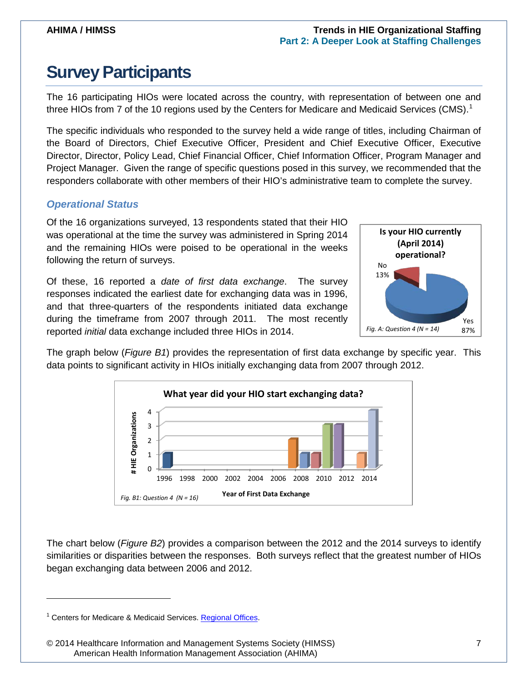## <span id="page-6-0"></span>**Survey Participants**

The 16 participating HIOs were located across the country, with representation of between one and three HIOs from 7 of the [1](#page-6-2)0 regions used by the Centers for Medicare and Medicaid Services (CMS).<sup>1</sup>

The specific individuals who responded to the survey held a wide range of titles, including Chairman of the Board of Directors, Chief Executive Officer, President and Chief Executive Officer, Executive Director, Director, Policy Lead, Chief Financial Officer, Chief Information Officer, Program Manager and Project Manager. Given the range of specific questions posed in this survey, we recommended that the responders collaborate with other members of their HIO's administrative team to complete the survey.

### <span id="page-6-1"></span>*Operational Status*

Of the 16 organizations surveyed, 13 respondents stated that their HIO was operational at the time the survey was administered in Spring 2014 and the remaining HIOs were poised to be operational in the weeks following the return of surveys.

Of these, 16 reported a *date of first data exchange*. The survey responses indicated the earliest date for exchanging data was in 1996, and that three-quarters of the respondents initiated data exchange during the timeframe from 2007 through 2011. The most recently reported *initial* data exchange included three HIOs in 2014.



The graph below (*Figure B1*) provides the representation of first data exchange by specific year. This data points to significant activity in HIOs initially exchanging data from 2007 through 2012.



The chart below (*Figure B2*) provides a comparison between the 2012 and the 2014 surveys to identify similarities or disparities between the responses. Both surveys reflect that the greatest number of HIOs began exchanging data between 2006 and 2012.

 $\ddot{\phantom{a}}$ 

<span id="page-6-2"></span><sup>&</sup>lt;sup>1</sup> Centers for Medicare & Medicaid Services. [Regional Offices.](http://www.cms.gov/About-CMS/Agency-Information/RegionalOffices/RegionalMap.html)

<sup>© 2014</sup> Healthcare Information and Management Systems Society (HIMSS) 7 American Health Information Management Association (AHIMA)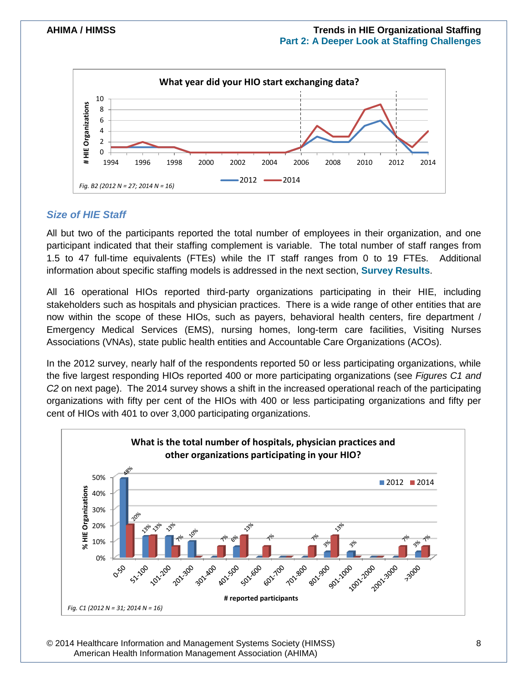

### <span id="page-7-0"></span>*Size of HIE Staff*

All but two of the participants reported the total number of employees in their organization, and one participant indicated that their staffing complement is variable. The total number of staff ranges from 1.5 to 47 full-time equivalents (FTEs) while the IT staff ranges from 0 to 19 FTEs. Additional information about specific staffing models is addressed in the next section, **[Survey Results](#page-10-0)**.

All 16 operational HIOs reported third-party organizations participating in their HIE, including stakeholders such as hospitals and physician practices. There is a wide range of other entities that are now within the scope of these HIOs, such as payers, behavioral health centers, fire department / Emergency Medical Services (EMS), nursing homes, long-term care facilities, Visiting Nurses Associations (VNAs), state public health entities and Accountable Care Organizations (ACOs).

In the 2012 survey, nearly half of the respondents reported 50 or less participating organizations, while the five largest responding HIOs reported 400 or more participating organizations (see *Figures C1 and C2* on next page). The 2014 survey shows a shift in the increased operational reach of the participating organizations with fifty per cent of the HIOs with 400 or less participating organizations and fifty per cent of HIOs with 401 to over 3,000 participating organizations.



© 2014 Healthcare Information and Management Systems Society (HIMSS) 8 American Health Information Management Association (AHIMA)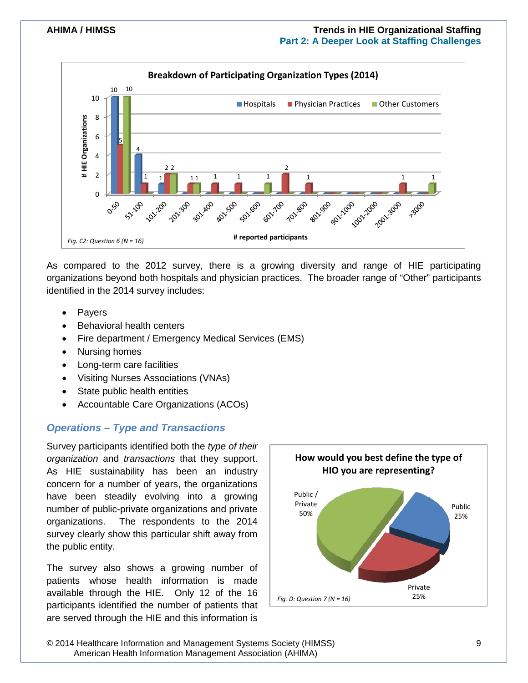

As compared to the 2012 survey, there is a growing diversity and range of HIE participating organizations beyond both hospitals and physician practices. The broader range of "Other" participants identified in the 2014 survey includes:

- **Payers**
- Behavioral health centers
- Fire department / Emergency Medical Services (EMS)
- Nursing homes
- Long-term care facilities
- Visiting Nurses Associations (VNAs)
- **State public health entities**
- Accountable Care Organizations (ACOs)

### <span id="page-8-0"></span>*Operations – Type and Transactions*

Survey participants identified both the *type of their organization* and *transactions* that they support. As HIE sustainability has been an industry concern for a number of years, the organizations have been steadily evolving into a growing number of public-private organizations and private organizations. The respondents to the 2014 survey clearly show this particular shift away from the public entity.

The survey also shows a growing number of patients whose health information is made available through the HIE. Only 12 of the 16 participants identified the number of patients that are served through the HIE and this information is



© 2014 Healthcare Information and Management Systems Society (HIMSS) 9 American Health Information Management Association (AHIMA)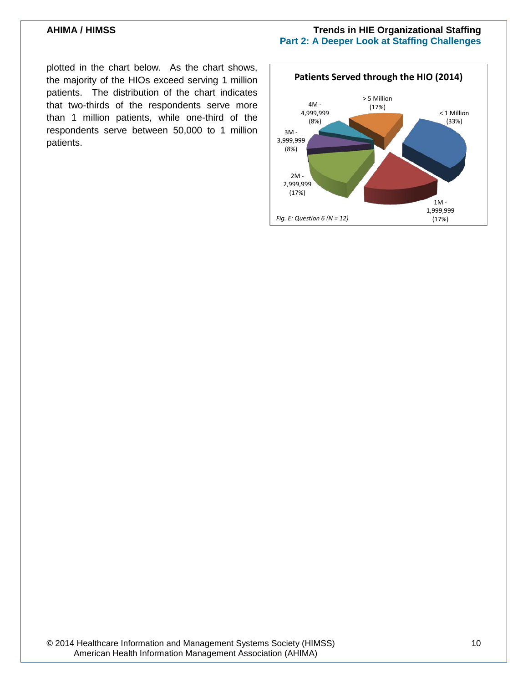plotted in the chart below. As the chart shows, the majority of the HIOs exceed serving 1 million patients. The distribution of the chart indicates that two-thirds of the respondents serve more than 1 million patients, while one-third of the respondents serve between 50,000 to 1 million patients.

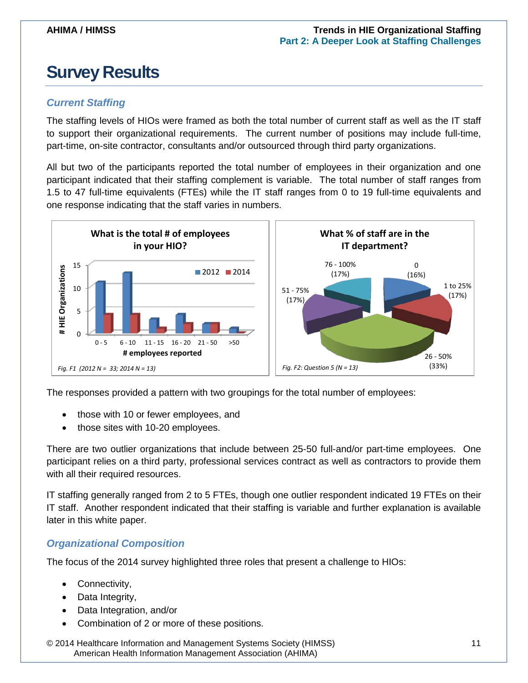## <span id="page-10-0"></span>**Survey Results**

### <span id="page-10-1"></span>*Current Staffing*

The staffing levels of HIOs were framed as both the total number of current staff as well as the IT staff to support their organizational requirements. The current number of positions may include full-time, part-time, on-site contractor, consultants and/or outsourced through third party organizations.

All but two of the participants reported the total number of employees in their organization and one participant indicated that their staffing complement is variable. The total number of staff ranges from 1.5 to 47 full-time equivalents (FTEs) while the IT staff ranges from 0 to 19 full-time equivalents and one response indicating that the staff varies in numbers.



The responses provided a pattern with two groupings for the total number of employees:

- those with 10 or fewer employees, and
- those sites with 10-20 employees.

There are two outlier organizations that include between 25-50 full-and/or part-time employees. One participant relies on a third party, professional services contract as well as contractors to provide them with all their required resources.

IT staffing generally ranged from 2 to 5 FTEs, though one outlier respondent indicated 19 FTEs on their IT staff. Another respondent indicated that their staffing is variable and further explanation is available later in this white paper.

### <span id="page-10-2"></span>*Organizational Composition*

The focus of the 2014 survey highlighted three roles that present a challenge to HIOs:

- Connectivity,
- Data Integrity,
- Data Integration, and/or
- Combination of 2 or more of these positions.

© 2014 Healthcare Information and Management Systems Society (HIMSS) 11 American Health Information Management Association (AHIMA)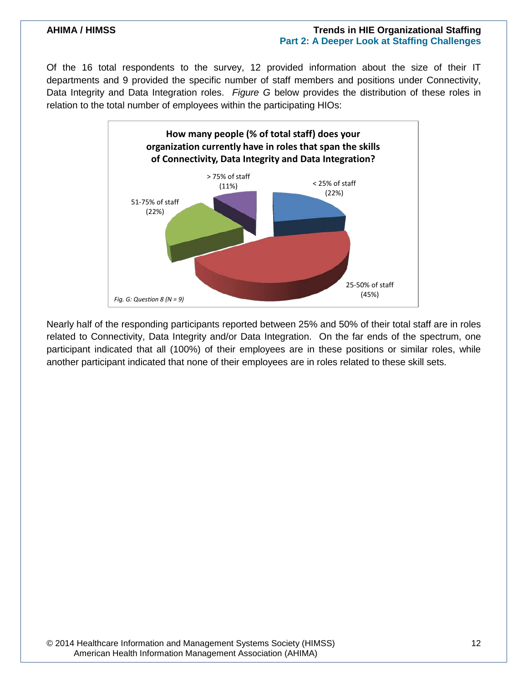Of the 16 total respondents to the survey, 12 provided information about the size of their IT departments and 9 provided the specific number of staff members and positions under Connectivity, Data Integrity and Data Integration roles. *Figure G* below provides the distribution of these roles in relation to the total number of employees within the participating HIOs:



Nearly half of the responding participants reported between 25% and 50% of their total staff are in roles related to Connectivity, Data Integrity and/or Data Integration. On the far ends of the spectrum, one participant indicated that all (100%) of their employees are in these positions or similar roles, while another participant indicated that none of their employees are in roles related to these skill sets.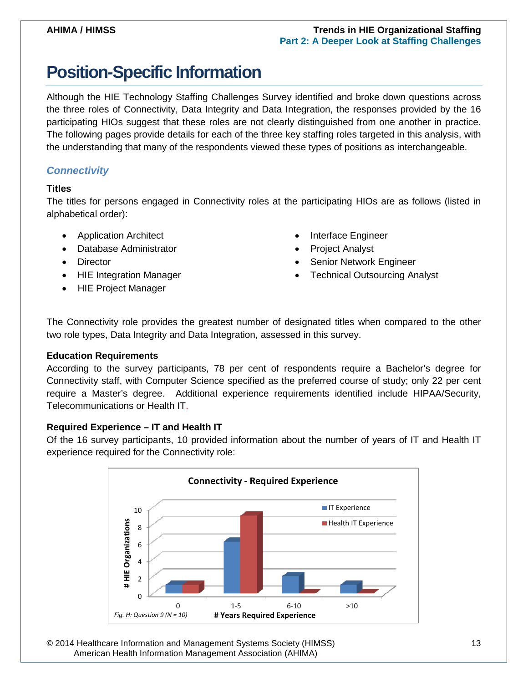## <span id="page-12-0"></span>**Position-Specific Information**

Although the HIE Technology Staffing Challenges Survey identified and broke down questions across the three roles of Connectivity, Data Integrity and Data Integration, the responses provided by the 16 participating HIOs suggest that these roles are not clearly distinguished from one another in practice. The following pages provide details for each of the three key staffing roles targeted in this analysis, with the understanding that many of the respondents viewed these types of positions as interchangeable.

### <span id="page-12-1"></span>*Connectivity*

#### <span id="page-12-2"></span>**Titles**

The titles for persons engaged in Connectivity roles at the participating HIOs are as follows (listed in alphabetical order):

- Application Architect
- Database Administrator
- Director
- HIE Integration Manager
- HIE Project Manager
- Interface Engineer
- Project Analyst
- Senior Network Engineer
- **Technical Outsourcing Analyst**

The Connectivity role provides the greatest number of designated titles when compared to the other two role types, Data Integrity and Data Integration, assessed in this survey.

#### <span id="page-12-3"></span>**Education Requirements**

According to the survey participants, 78 per cent of respondents require a Bachelor's degree for Connectivity staff, with Computer Science specified as the preferred course of study; only 22 per cent require a Master's degree. Additional experience requirements identified include HIPAA/Security, Telecommunications or Health IT.

#### <span id="page-12-4"></span>**Required Experience – IT and Health IT**

Of the 16 survey participants, 10 provided information about the number of years of IT and Health IT experience required for the Connectivity role:



© 2014 Healthcare Information and Management Systems Society (HIMSS) 13 American Health Information Management Association (AHIMA)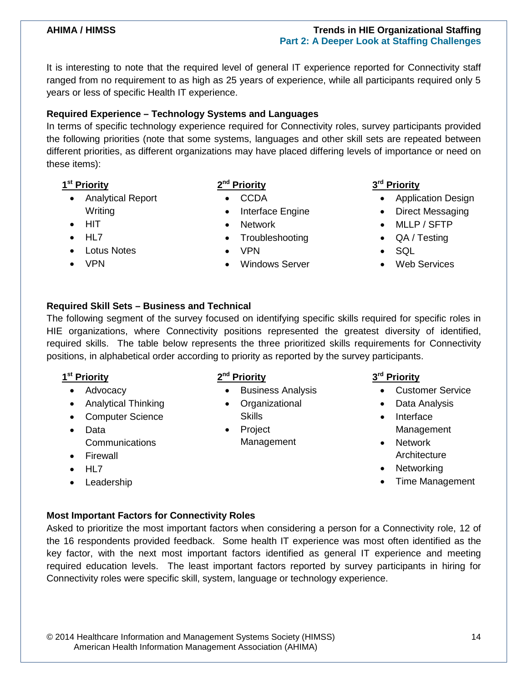It is interesting to note that the required level of general IT experience reported for Connectivity staff ranged from no requirement to as high as 25 years of experience, while all participants required only 5 years or less of specific Health IT experience.

#### <span id="page-13-0"></span>**Required Experience – Technology Systems and Languages**

In terms of specific technology experience required for Connectivity roles, survey participants provided the following priorities (note that some systems, languages and other skill sets are repeated between different priorities, as different organizations may have placed differing levels of importance or need on these items):

- **1st Priority**
	- Analytical Report Writing
	- HIT
	- HL7
	- Lotus Notes
	- VPN

### **2nd Priority**

- CCDA
- Interface Engine
- Network
- **Troubleshooting**
- VPN
- Windows Server

### **3rd Priority**

- Application Design
- Direct Messaging
- MLLP / SFTP
- QA / Testing
- SQL
- Web Services

#### <span id="page-13-1"></span>**Required Skill Sets – Business and Technical**

The following segment of the survey focused on identifying specific skills required for specific roles in HIE organizations, where Connectivity positions represented the greatest diversity of identified, required skills. The table below represents the three prioritized skills requirements for Connectivity positions, in alphabetical order according to priority as reported by the survey participants.

### **1st Priority**

- Advocacy
- Analytical Thinking
- Computer Science
- Data **Communications**
- Firewall
- HL7
- Leadership

### **2nd Priority**

- Business Analysis
- Organizational Skills
- Project Management

#### **3rd Priority**

- Customer Service
- Data Analysis
- Interface Management
- Network **Architecture**
- Networking
- Time Management

### <span id="page-13-2"></span>**Most Important Factors for Connectivity Roles**

Asked to prioritize the most important factors when considering a person for a Connectivity role, 12 of the 16 respondents provided feedback. Some health IT experience was most often identified as the key factor, with the next most important factors identified as general IT experience and meeting required education levels. The least important factors reported by survey participants in hiring for Connectivity roles were specific skill, system, language or technology experience.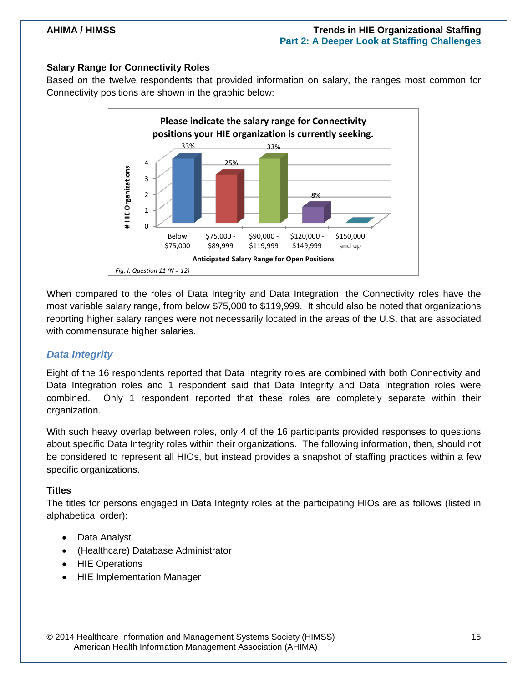#### <span id="page-14-0"></span>**Salary Range for Connectivity Roles**

Based on the twelve respondents that provided information on salary, the ranges most common for Connectivity positions are shown in the graphic below:



When compared to the roles of Data Integrity and Data Integration, the Connectivity roles have the most variable salary range, from below \$75,000 to \$119,999. It should also be noted that organizations reporting higher salary ranges were not necessarily located in the areas of the U.S. that are associated with commensurate higher salaries.

#### <span id="page-14-1"></span>*Data Integrity*

Eight of the 16 respondents reported that Data Integrity roles are combined with both Connectivity and Data Integration roles and 1 respondent said that Data Integrity and Data Integration roles were combined. Only 1 respondent reported that these roles are completely separate within their organization.

With such heavy overlap between roles, only 4 of the 16 participants provided responses to questions about specific Data Integrity roles within their organizations. The following information, then, should not be considered to represent all HIOs, but instead provides a snapshot of staffing practices within a few specific organizations.

#### <span id="page-14-2"></span>**Titles**

The titles for persons engaged in Data Integrity roles at the participating HIOs are as follows (listed in alphabetical order):

- Data Analyst
- (Healthcare) Database Administrator
- HIE Operations
- HIE Implementation Manager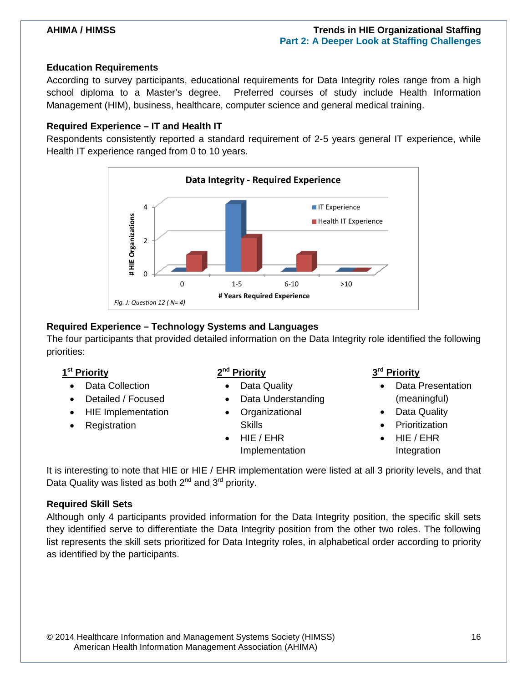#### <span id="page-15-0"></span>**Education Requirements**

According to survey participants, educational requirements for Data Integrity roles range from a high school diploma to a Master's degree. Preferred courses of study include Health Information Management (HIM), business, healthcare, computer science and general medical training.

#### <span id="page-15-1"></span>**Required Experience – IT and Health IT**

Respondents consistently reported a standard requirement of 2-5 years general IT experience, while Health IT experience ranged from 0 to 10 years.



#### <span id="page-15-2"></span>**Required Experience – Technology Systems and Languages**

The four participants that provided detailed information on the Data Integrity role identified the following priorities:

#### **1st Priority**

- Data Collection
- Detailed / Focused
- HIE Implementation
- **Registration**

#### **2nd Priority**

- Data Quality
- Data Understanding
- **Organizational Skills**
- HIE / EHR Implementation

#### **3rd Priority**

- Data Presentation (meaningful)
- Data Quality
- **Prioritization**
- HIE / EHR Integration

It is interesting to note that HIE or HIE / EHR implementation were listed at all 3 priority levels, and that Data Quality was listed as both  $2^{nd}$  and  $3^{rd}$  priority.

#### <span id="page-15-3"></span>**Required Skill Sets**

Although only 4 participants provided information for the Data Integrity position, the specific skill sets they identified serve to differentiate the Data Integrity position from the other two roles. The following list represents the skill sets prioritized for Data Integrity roles, in alphabetical order according to priority as identified by the participants.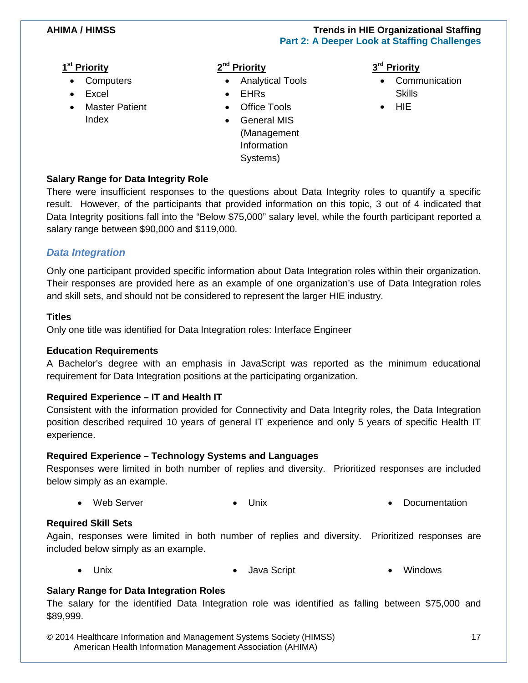#### **1st Priority**

- **Computers**
- **Fxcel**
- Master Patient Index

### **2nd Priority**

- Analytical Tools
	- EHRs
- **Office Tools**
- General MIS (Management Information Systems)

#### **3rd Priority**

- Communication **Skills**
- HIE

### <span id="page-16-0"></span>**Salary Range for Data Integrity Role**

There were insufficient responses to the questions about Data Integrity roles to quantify a specific result. However, of the participants that provided information on this topic, 3 out of 4 indicated that Data Integrity positions fall into the "Below \$75,000" salary level, while the fourth participant reported a salary range between \$90,000 and \$119,000.

### <span id="page-16-1"></span>*Data Integration*

Only one participant provided specific information about Data Integration roles within their organization. Their responses are provided here as an example of one organization's use of Data Integration roles and skill sets, and should not be considered to represent the larger HIE industry.

#### <span id="page-16-2"></span>**Titles**

Only one title was identified for Data Integration roles: Interface Engineer

#### <span id="page-16-3"></span>**Education Requirements**

A Bachelor's degree with an emphasis in JavaScript was reported as the minimum educational requirement for Data Integration positions at the participating organization.

### <span id="page-16-4"></span>**Required Experience – IT and Health IT**

Consistent with the information provided for Connectivity and Data Integrity roles, the Data Integration position described required 10 years of general IT experience and only 5 years of specific Health IT experience.

### <span id="page-16-5"></span>**Required Experience – Technology Systems and Languages**

Responses were limited in both number of replies and diversity. Prioritized responses are included below simply as an example.

• Web Server • Unix • Documentation

### <span id="page-16-6"></span>**Required Skill Sets**

Again, responses were limited in both number of replies and diversity. Prioritized responses are included below simply as an example.

• Unix • Java Script • Windows

### <span id="page-16-7"></span>**Salary Range for Data Integration Roles**

The salary for the identified Data Integration role was identified as falling between \$75,000 and \$89,999.

© 2014 Healthcare Information and Management Systems Society (HIMSS) 17 American Health Information Management Association (AHIMA)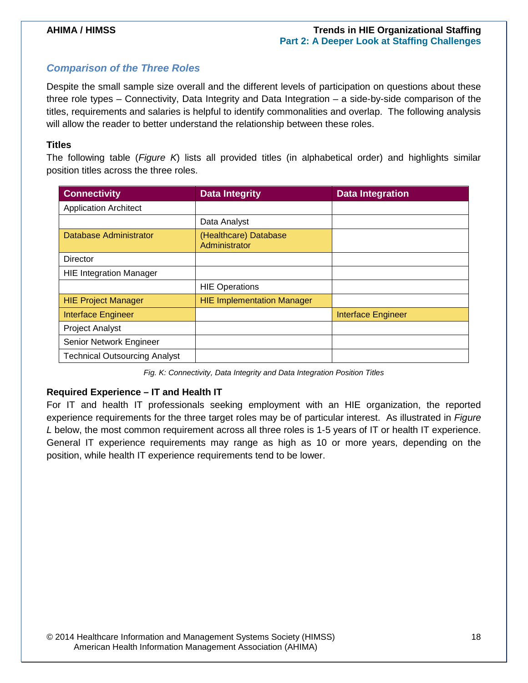#### <span id="page-17-0"></span>*Comparison of the Three Roles*

Despite the small sample size overall and the different levels of participation on questions about these three role types – Connectivity, Data Integrity and Data Integration – a side-by-side comparison of the titles, requirements and salaries is helpful to identify commonalities and overlap. The following analysis will allow the reader to better understand the relationship between these roles.

#### <span id="page-17-1"></span>**Titles**

The following table (*Figure K*) lists all provided titles (in alphabetical order) and highlights similar position titles across the three roles.

| <b>Connectivity</b>                  | <b>Data Integrity</b>                  | <b>Data Integration</b>   |
|--------------------------------------|----------------------------------------|---------------------------|
| <b>Application Architect</b>         |                                        |                           |
|                                      | Data Analyst                           |                           |
| Database Administrator               | (Healthcare) Database<br>Administrator |                           |
| Director                             |                                        |                           |
| <b>HIE Integration Manager</b>       |                                        |                           |
|                                      | <b>HIE Operations</b>                  |                           |
| <b>HIE Project Manager</b>           | <b>HIE Implementation Manager</b>      |                           |
| <b>Interface Engineer</b>            |                                        | <b>Interface Engineer</b> |
| <b>Project Analyst</b>               |                                        |                           |
| Senior Network Engineer              |                                        |                           |
| <b>Technical Outsourcing Analyst</b> |                                        |                           |

*Fig. K: Connectivity, Data Integrity and Data Integration Position Titles*

#### <span id="page-17-2"></span>**Required Experience – IT and Health IT**

For IT and health IT professionals seeking employment with an HIE organization, the reported experience requirements for the three target roles may be of particular interest. As illustrated in *Figure L* below, the most common requirement across all three roles is 1-5 years of IT or health IT experience. General IT experience requirements may range as high as 10 or more years, depending on the position, while health IT experience requirements tend to be lower.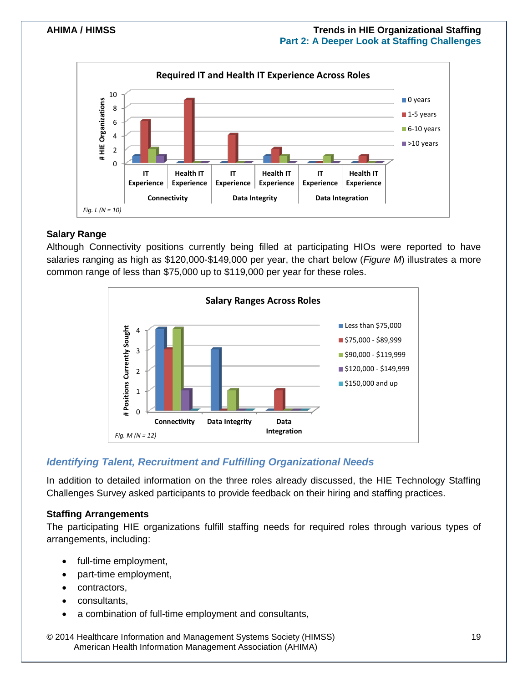

#### <span id="page-18-0"></span>**Salary Range**

Although Connectivity positions currently being filled at participating HIOs were reported to have salaries ranging as high as \$120,000-\$149,000 per year, the chart below (*Figure M*) illustrates a more common range of less than \$75,000 up to \$119,000 per year for these roles.



### <span id="page-18-1"></span>*Identifying Talent, Recruitment and Fulfilling Organizational Needs*

In addition to detailed information on the three roles already discussed, the HIE Technology Staffing Challenges Survey asked participants to provide feedback on their hiring and staffing practices.

#### <span id="page-18-2"></span>**Staffing Arrangements**

The participating HIE organizations fulfill staffing needs for required roles through various types of arrangements, including:

- full-time employment,
- part-time employment,
- contractors,
- consultants,
- a combination of full-time employment and consultants,

© 2014 Healthcare Information and Management Systems Society (HIMSS) 19 American Health Information Management Association (AHIMA)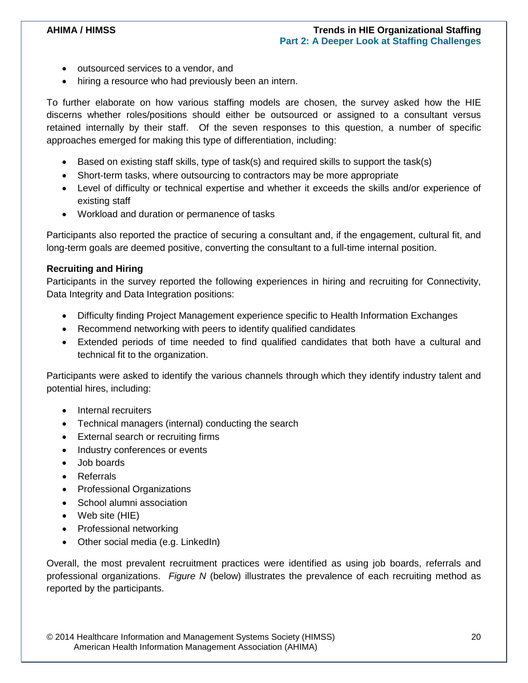- outsourced services to a vendor, and
- hiring a resource who had previously been an intern.

To further elaborate on how various staffing models are chosen, the survey asked how the HIE discerns whether roles/positions should either be outsourced or assigned to a consultant versus retained internally by their staff. Of the seven responses to this question, a number of specific approaches emerged for making this type of differentiation, including:

- Based on existing staff skills, type of task(s) and required skills to support the task(s)
- Short-term tasks, where outsourcing to contractors may be more appropriate
- Level of difficulty or technical expertise and whether it exceeds the skills and/or experience of existing staff
- Workload and duration or permanence of tasks

Participants also reported the practice of securing a consultant and, if the engagement, cultural fit, and long-term goals are deemed positive, converting the consultant to a full-time internal position.

#### <span id="page-19-0"></span>**Recruiting and Hiring**

Participants in the survey reported the following experiences in hiring and recruiting for Connectivity, Data Integrity and Data Integration positions:

- Difficulty finding Project Management experience specific to Health Information Exchanges
- Recommend networking with peers to identify qualified candidates
- Extended periods of time needed to find qualified candidates that both have a cultural and technical fit to the organization.

Participants were asked to identify the various channels through which they identify industry talent and potential hires, including:

- Internal recruiters
- Technical managers (internal) conducting the search
- External search or recruiting firms
- Industry conferences or events
- Job boards
- Referrals
- Professional Organizations
- School alumni association
- Web site (HIE)
- Professional networking
- Other social media (e.g. LinkedIn)

Overall, the most prevalent recruitment practices were identified as using job boards, referrals and professional organizations. *Figure N* (below) illustrates the prevalence of each recruiting method as reported by the participants.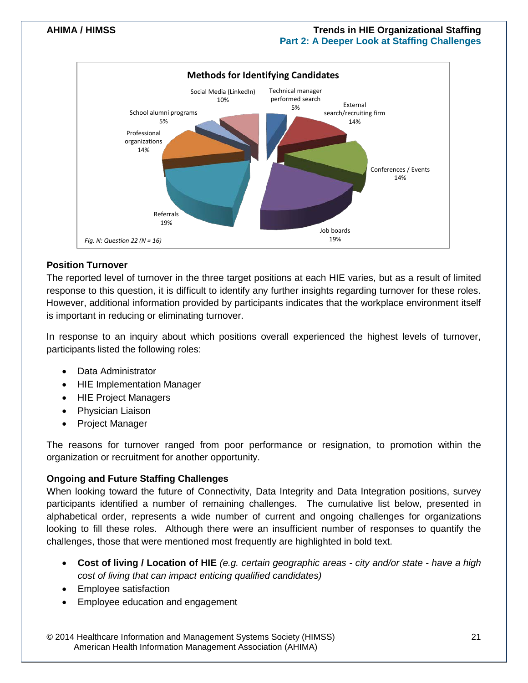

#### <span id="page-20-0"></span>**Position Turnover**

The reported level of turnover in the three target positions at each HIE varies, but as a result of limited response to this question, it is difficult to identify any further insights regarding turnover for these roles. However, additional information provided by participants indicates that the workplace environment itself is important in reducing or eliminating turnover.

In response to an inquiry about which positions overall experienced the highest levels of turnover, participants listed the following roles:

- Data Administrator
- HIE Implementation Manager
- HIE Project Managers
- Physician Liaison
- Project Manager

The reasons for turnover ranged from poor performance or resignation, to promotion within the organization or recruitment for another opportunity.

#### <span id="page-20-1"></span>**Ongoing and Future Staffing Challenges**

When looking toward the future of Connectivity, Data Integrity and Data Integration positions, survey participants identified a number of remaining challenges. The cumulative list below, presented in alphabetical order, represents a wide number of current and ongoing challenges for organizations looking to fill these roles. Although there were an insufficient number of responses to quantify the challenges, those that were mentioned most frequently are highlighted in bold text.

- **Cost of living / Location of HIE** *(e.g. certain geographic areas - city and/or state - have a high cost of living that can impact enticing qualified candidates)*
- Employee satisfaction
- Employee education and engagement

© 2014 Healthcare Information and Management Systems Society (HIMSS) 21 American Health Information Management Association (AHIMA)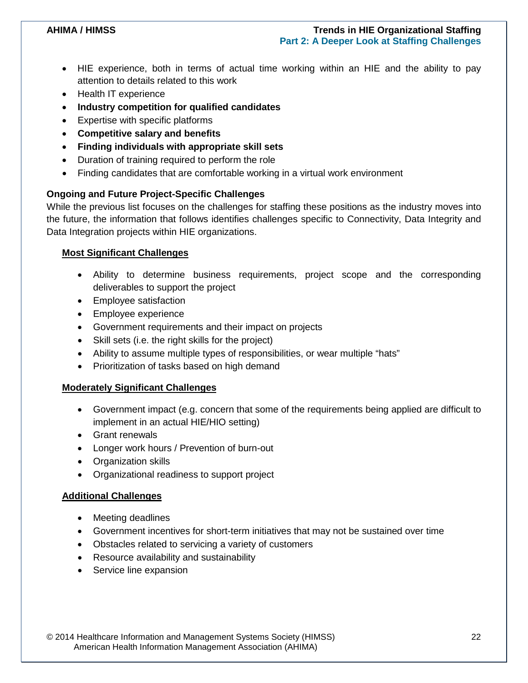- HIE experience, both in terms of actual time working within an HIE and the ability to pay attention to details related to this work
- Health IT experience
- **Industry competition for qualified candidates**
- Expertise with specific platforms
- **Competitive salary and benefits**
- **Finding individuals with appropriate skill sets**
- Duration of training required to perform the role
- Finding candidates that are comfortable working in a virtual work environment

#### <span id="page-21-0"></span>**Ongoing and Future Project-Specific Challenges**

While the previous list focuses on the challenges for staffing these positions as the industry moves into the future, the information that follows identifies challenges specific to Connectivity, Data Integrity and Data Integration projects within HIE organizations.

#### **Most Significant Challenges**

- Ability to determine business requirements, project scope and the corresponding deliverables to support the project
- Employee satisfaction
- Employee experience
- Government requirements and their impact on projects
- Skill sets (i.e. the right skills for the project)
- Ability to assume multiple types of responsibilities, or wear multiple "hats"
- Prioritization of tasks based on high demand

#### **Moderately Significant Challenges**

- Government impact (e.g. concern that some of the requirements being applied are difficult to implement in an actual HIE/HIO setting)
- Grant renewals
- Longer work hours / Prevention of burn-out
- Organization skills
- Organizational readiness to support project

#### **Additional Challenges**

- Meeting deadlines
- Government incentives for short-term initiatives that may not be sustained over time
- Obstacles related to servicing a variety of customers
- Resource availability and sustainability
- Service line expansion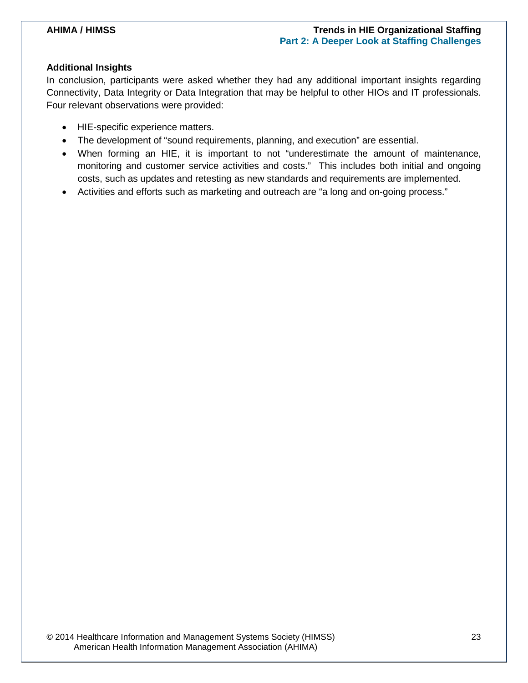#### <span id="page-22-0"></span>**Additional Insights**

In conclusion, participants were asked whether they had any additional important insights regarding Connectivity, Data Integrity or Data Integration that may be helpful to other HIOs and IT professionals. Four relevant observations were provided:

- HIE-specific experience matters.
- The development of "sound requirements, planning, and execution" are essential.
- When forming an HIE, it is important to not "underestimate the amount of maintenance, monitoring and customer service activities and costs." This includes both initial and ongoing costs, such as updates and retesting as new standards and requirements are implemented.
- Activities and efforts such as marketing and outreach are "a long and on-going process."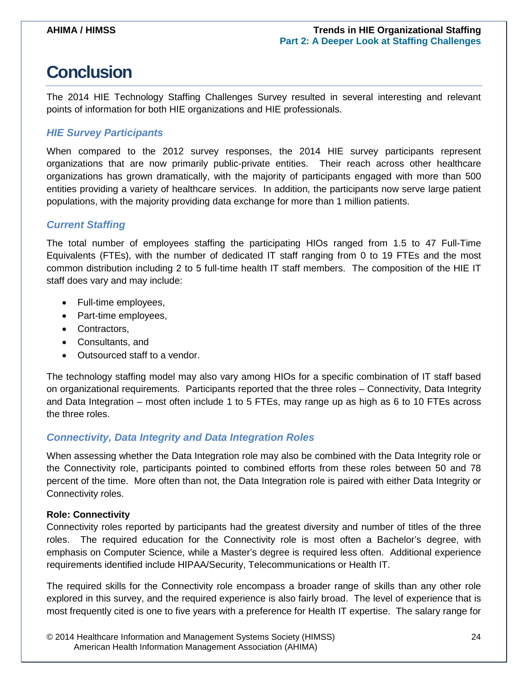## <span id="page-23-0"></span>**Conclusion**

The 2014 HIE Technology Staffing Challenges Survey resulted in several interesting and relevant points of information for both HIE organizations and HIE professionals.

### <span id="page-23-1"></span>*HIE Survey Participants*

When compared to the 2012 survey responses, the 2014 HIE survey participants represent organizations that are now primarily public-private entities. Their reach across other healthcare organizations has grown dramatically, with the majority of participants engaged with more than 500 entities providing a variety of healthcare services. In addition, the participants now serve large patient populations, with the majority providing data exchange for more than 1 million patients.

### <span id="page-23-2"></span>*Current Staffing*

The total number of employees staffing the participating HIOs ranged from 1.5 to 47 Full-Time Equivalents (FTEs), with the number of dedicated IT staff ranging from 0 to 19 FTEs and the most common distribution including 2 to 5 full-time health IT staff members. The composition of the HIE IT staff does vary and may include:

- Full-time employees,
- Part-time employees,
- Contractors,
- Consultants, and
- Outsourced staff to a vendor.

The technology staffing model may also vary among HIOs for a specific combination of IT staff based on organizational requirements. Participants reported that the three roles – Connectivity, Data Integrity and Data Integration – most often include 1 to 5 FTEs, may range up as high as 6 to 10 FTEs across the three roles.

### <span id="page-23-3"></span>*Connectivity, Data Integrity and Data Integration Roles*

When assessing whether the Data Integration role may also be combined with the Data Integrity role or the Connectivity role, participants pointed to combined efforts from these roles between 50 and 78 percent of the time. More often than not, the Data Integration role is paired with either Data Integrity or Connectivity roles.

#### <span id="page-23-4"></span>**Role: Connectivity**

Connectivity roles reported by participants had the greatest diversity and number of titles of the three roles. The required education for the Connectivity role is most often a Bachelor's degree, with emphasis on Computer Science, while a Master's degree is required less often. Additional experience requirements identified include HIPAA/Security, Telecommunications or Health IT.

The required skills for the Connectivity role encompass a broader range of skills than any other role explored in this survey, and the required experience is also fairly broad. The level of experience that is most frequently cited is one to five years with a preference for Health IT expertise. The salary range for

© 2014 Healthcare Information and Management Systems Society (HIMSS) 24 American Health Information Management Association (AHIMA)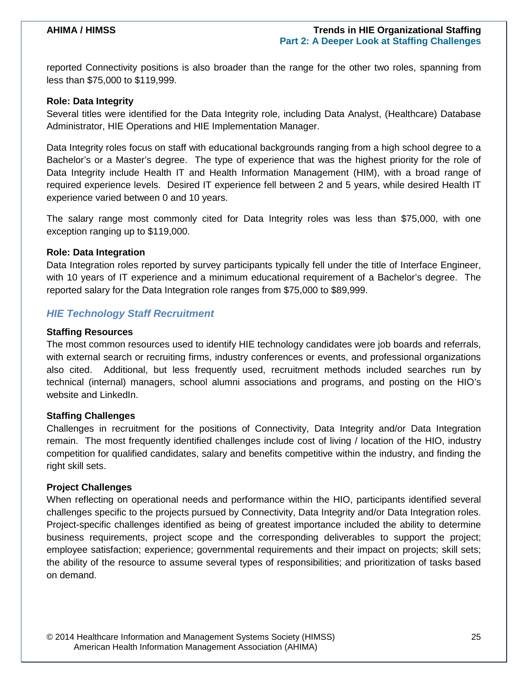reported Connectivity positions is also broader than the range for the other two roles, spanning from less than \$75,000 to \$119,999.

#### <span id="page-24-0"></span>**Role: Data Integrity**

Several titles were identified for the Data Integrity role, including Data Analyst, (Healthcare) Database Administrator, HIE Operations and HIE Implementation Manager.

Data Integrity roles focus on staff with educational backgrounds ranging from a high school degree to a Bachelor's or a Master's degree. The type of experience that was the highest priority for the role of Data Integrity include Health IT and Health Information Management (HIM), with a broad range of required experience levels. Desired IT experience fell between 2 and 5 years, while desired Health IT experience varied between 0 and 10 years.

The salary range most commonly cited for Data Integrity roles was less than \$75,000, with one exception ranging up to \$119,000.

#### <span id="page-24-1"></span>**Role: Data Integration**

Data Integration roles reported by survey participants typically fell under the title of Interface Engineer, with 10 years of IT experience and a minimum educational requirement of a Bachelor's degree. The reported salary for the Data Integration role ranges from \$75,000 to \$89,999.

#### <span id="page-24-2"></span>*HIE Technology Staff Recruitment*

#### <span id="page-24-3"></span>**Staffing Resources**

The most common resources used to identify HIE technology candidates were job boards and referrals, with external search or recruiting firms, industry conferences or events, and professional organizations also cited. Additional, but less frequently used, recruitment methods included searches run by technical (internal) managers, school alumni associations and programs, and posting on the HIO's website and LinkedIn.

#### <span id="page-24-4"></span>**Staffing Challenges**

Challenges in recruitment for the positions of Connectivity, Data Integrity and/or Data Integration remain. The most frequently identified challenges include cost of living / location of the HIO, industry competition for qualified candidates, salary and benefits competitive within the industry, and finding the right skill sets.

#### <span id="page-24-5"></span>**Project Challenges**

<span id="page-24-6"></span>When reflecting on operational needs and performance within the HIO, participants identified several challenges specific to the projects pursued by Connectivity, Data Integrity and/or Data Integration roles. Project-specific challenges identified as being of greatest importance included the ability to determine business requirements, project scope and the corresponding deliverables to support the project; employee satisfaction; experience; governmental requirements and their impact on projects; skill sets; the ability of the resource to assume several types of responsibilities; and prioritization of tasks based on demand.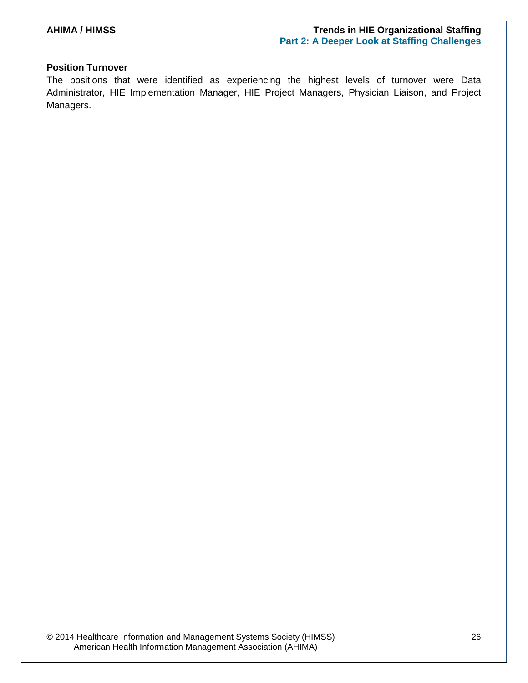#### **Position Turnover**

The positions that were identified as experiencing the highest levels of turnover were Data Administrator, HIE Implementation Manager, HIE Project Managers, Physician Liaison, and Project Managers.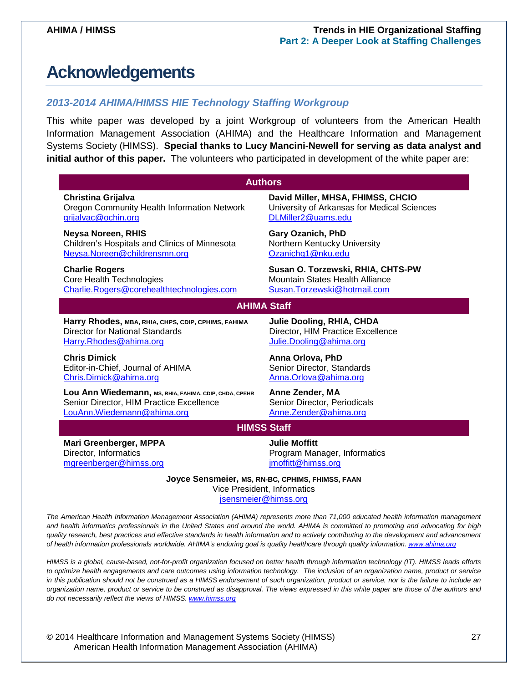## <span id="page-26-0"></span>**Acknowledgements**

#### <span id="page-26-1"></span>*2013-2014 AHIMA/HIMSS HIE Technology Staffing Workgroup*

This white paper was developed by a joint Workgroup of volunteers from the American Health Information Management Association (AHIMA) and the Healthcare Information and Management Systems Society (HIMSS). **Special thanks to Lucy Mancini-Newell for serving as data analyst and initial author of this paper.** The volunteers who participated in development of the white paper are:

| <b>Authors</b>                                                                  |                                             |  |
|---------------------------------------------------------------------------------|---------------------------------------------|--|
| Christina Grijalva                                                              | David Miller, MHSA, FHIMSS, CHCIO           |  |
| Oregon Community Health Information Network                                     | University of Arkansas for Medical Sciences |  |
| grijalvac@ochin.org                                                             | DLMiller2@uams.edu                          |  |
| <b>Neysa Noreen, RHIS</b>                                                       | <b>Gary Ozanich, PhD</b>                    |  |
| Children's Hospitals and Clinics of Minnesota                                   | Northern Kentucky University                |  |
| Neysa.Noreen@childrensmn.org                                                    | Ozanichg1@nku.edu                           |  |
| <b>Charlie Rogers</b>                                                           | Susan O. Torzewski, RHIA, CHTS-PW           |  |
| Core Health Technologies                                                        | <b>Mountain States Health Alliance</b>      |  |
| Charlie.Rogers@corehealthtechnologies.com                                       | Susan.Torzewski@hotmail.com                 |  |
| <b>AHIMA Staff</b>                                                              |                                             |  |
| Harry Rhodes, MBA, RHIA, CHPS, CDIP, CPHIMS, FAHIMA                             | Julie Dooling, RHIA, CHDA                   |  |
| <b>Director for National Standards</b>                                          | Director, HIM Practice Excellence           |  |
| Harry.Rhodes@ahima.org                                                          | Julie.Dooling@ahima.org                     |  |
| <b>Chris Dimick</b>                                                             | Anna Orlova, PhD                            |  |
| Editor-in-Chief, Journal of AHIMA                                               | Senior Director, Standards                  |  |
| Chris.Dimick@ahima.org                                                          | Anna.Orlova@ahima.org                       |  |
| Lou Ann Wiedemann, MS, RHIA, FAHIMA, CDIP, CHDA, CPEHR                          | <b>Anne Zender, MA</b>                      |  |
| Senior Director, HIM Practice Excellence                                        | Senior Director, Periodicals                |  |
| LouAnn. Wiedemann@ahima.org                                                     | Anne.Zender@ahima.org                       |  |
| <b>HIMSS Staff</b>                                                              |                                             |  |
| Mari Greenberger, MPPA                                                          | <b>Julie Moffitt</b>                        |  |
| Director, Informatics                                                           | Program Manager, Informatics                |  |
| mgreenberger@himss.org                                                          | jmoffitt@himss.org                          |  |
| Joyce Sensmeier, MS, RN-BC, CPHIMS, FHIMSS, FAAN<br>Vice President, Informatics |                                             |  |

<span id="page-26-2"></span>[jsensmeier@himss.org](mailto:jsensmeier@himss.org)

*The American Health Information Management Association (AHIMA) represents more than 71,000 educated health information management and health informatics professionals in the United States and around the world. AHIMA is committed to promoting and advocating for high quality research, best practices and effective standards in health information and to actively contributing to the development and advancement of health information professionals worldwide. AHIMA's enduring goal is quality healthcare through quality information. [www.ahima.org](http://www.ahima.org/)*

*HIMSS is a global, cause-based, not-for-profit organization focused on better health through information technology (IT). HIMSS leads efforts to optimize health engagements and care outcomes using information technology. The inclusion of an organization name, product or service in this publication should not be construed as a HIMSS endorsement of such organization, product or service, nor is the failure to include an organization name, product or service to be construed as disapproval. The views expressed in this white paper are those of the authors and do not necessarily reflect the views of HIMSS. [www.himss.org](http://www.himss.org/)*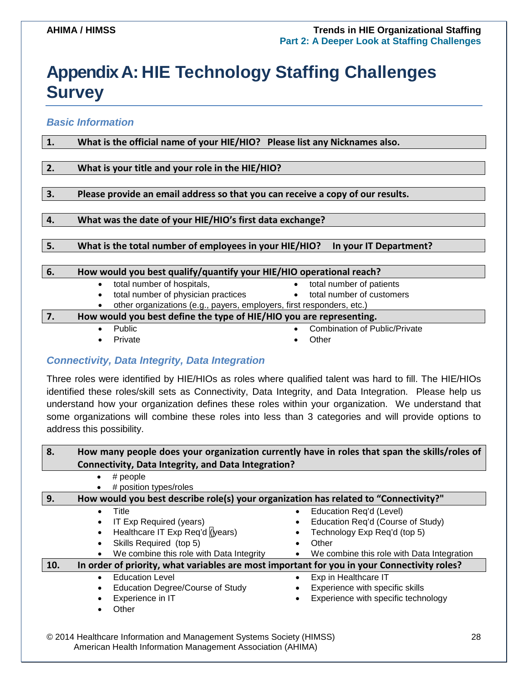## <span id="page-27-0"></span>**Appendix A: HIE Technology Staffing Challenges Survey**

<span id="page-27-1"></span>*Basic Information*

| 1.                                                                        | What is the official name of your HIE/HIO? Please list any Nicknames also.       |  |  |
|---------------------------------------------------------------------------|----------------------------------------------------------------------------------|--|--|
|                                                                           |                                                                                  |  |  |
| 2.                                                                        | What is your title and your role in the HIE/HIO?                                 |  |  |
|                                                                           |                                                                                  |  |  |
| 3.                                                                        | Please provide an email address so that you can receive a copy of our results.   |  |  |
|                                                                           |                                                                                  |  |  |
| 4.                                                                        | What was the date of your HIE/HIO's first data exchange?                         |  |  |
|                                                                           |                                                                                  |  |  |
| 5.                                                                        | What is the total number of employees in your HIE/HIO?<br>In your IT Department? |  |  |
|                                                                           |                                                                                  |  |  |
| 6.                                                                        | How would you best qualify/quantify your HIE/HIO operational reach?              |  |  |
|                                                                           | total number of hospitals,<br>total number of patients<br>$\bullet$<br>$\bullet$ |  |  |
|                                                                           | total number of customers<br>total number of physician practices<br>$\bullet$    |  |  |
|                                                                           | other organizations (e.g., payers, employers, first responders, etc.)            |  |  |
| How would you best define the type of HIE/HIO you are representing.<br>7. |                                                                                  |  |  |
|                                                                           | <b>Combination of Public/Private</b><br>Public<br>$\bullet$                      |  |  |

- 
- Private **•** Other
- 
- 

### <span id="page-27-2"></span>*Connectivity, Data Integrity, Data Integration*

Three roles were identified by HIE/HIOs as roles where qualified talent was hard to fill. The HIE/HIOs identified these roles/skill sets as Connectivity, Data Integrity, and Data Integration. Please help us understand how your organization defines these roles within your organization. We understand that some organizations will combine these roles into less than 3 categories and will provide options to address this possibility.

| 8.  | How many people does your organization currently have in roles that span the skills/roles of |                                            |  |
|-----|----------------------------------------------------------------------------------------------|--------------------------------------------|--|
|     | Connectivity, Data Integrity, and Data Integration?                                          |                                            |  |
|     | $\#$ people<br>$\bullet$                                                                     |                                            |  |
|     | # position types/roles                                                                       |                                            |  |
| 9.  | How would you best describe role(s) your organization has related to "Connectivity?"         |                                            |  |
|     | Title<br>$\bullet$                                                                           | Education Req'd (Level)<br>$\bullet$       |  |
|     | IT Exp Required (years)                                                                      | Education Req'd (Course of Study)          |  |
|     | Healthcare IT Exp Req'd (years)                                                              | Technology Exp Req'd (top 5)               |  |
|     | Skills Required (top 5)<br>$\bullet$                                                         | Other                                      |  |
|     | We combine this role with Data Integrity<br>$\bullet$                                        | We combine this role with Data Integration |  |
| 10. | In order of priority, what variables are most important for you in your Connectivity roles?  |                                            |  |
|     | <b>Education Level</b>                                                                       | Exp in Healthcare IT                       |  |
|     | Education Degree/Course of Study                                                             | Experience with specific skills            |  |
|     | Experience in IT                                                                             | Experience with specific technology        |  |
|     | Other                                                                                        |                                            |  |
|     |                                                                                              |                                            |  |
|     |                                                                                              |                                            |  |

© 2014 Healthcare Information and Management Systems Society (HIMSS) 28 American Health Information Management Association (AHIMA)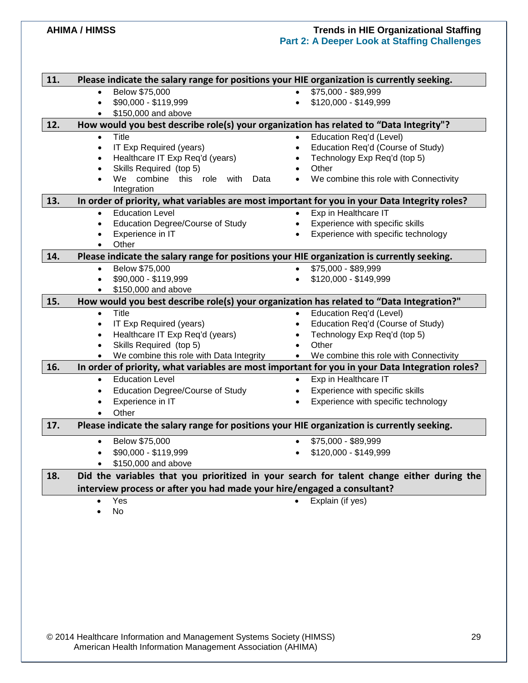| 11. | Please indicate the salary range for positions your HIE organization is currently seeking.                   |                                                     |
|-----|--------------------------------------------------------------------------------------------------------------|-----------------------------------------------------|
|     | Below \$75,000<br>$\bullet$                                                                                  | \$75,000 - \$89,999<br>$\bullet$                    |
|     | \$90,000 - \$119,999<br>$\bullet$                                                                            | \$120,000 - \$149,999<br>$\bullet$                  |
|     | \$150,000 and above<br>$\bullet$                                                                             |                                                     |
| 12. | How would you best describe role(s) your organization has related to "Data Integrity"?                       |                                                     |
|     | Title<br>$\bullet$                                                                                           | Education Req'd (Level)<br>$\bullet$                |
|     | IT Exp Required (years)<br>$\bullet$                                                                         | Education Req'd (Course of Study)<br>$\bullet$      |
|     | Healthcare IT Exp Req'd (years)<br>$\bullet$                                                                 | Technology Exp Req'd (top 5)<br>$\bullet$           |
|     | Skills Required (top 5)<br>$\bullet$                                                                         | Other<br>$\bullet$                                  |
|     | We combine this role with<br>Data                                                                            | We combine this role with Connectivity              |
| 13. | Integration<br>In order of priority, what variables are most important for you in your Data Integrity roles? |                                                     |
|     | <b>Education Level</b><br>$\bullet$                                                                          | Exp in Healthcare IT                                |
|     | <b>Education Degree/Course of Study</b><br>$\bullet$                                                         | Experience with specific skills<br>$\bullet$        |
|     | Experience in IT<br>$\bullet$                                                                                | Experience with specific technology<br>$\bullet$    |
|     | Other<br>$\bullet$                                                                                           |                                                     |
| 14. | Please indicate the salary range for positions your HIE organization is currently seeking.                   |                                                     |
|     | Below \$75,000<br>$\bullet$                                                                                  | \$75,000 - \$89,999                                 |
|     | \$90,000 - \$119,999<br>$\bullet$                                                                            | \$120,000 - \$149,999<br>$\bullet$                  |
|     | \$150,000 and above<br>$\bullet$                                                                             |                                                     |
| 15. | How would you best describe role(s) your organization has related to "Data Integration?"                     |                                                     |
|     | Title<br>$\bullet$                                                                                           | Education Reg'd (Level)                             |
|     | IT Exp Required (years)<br>$\bullet$                                                                         | Education Req'd (Course of Study)<br>$\bullet$      |
|     | Healthcare IT Exp Req'd (years)<br>$\bullet$                                                                 | Technology Exp Req'd (top 5)                        |
|     | Skills Required (top 5)<br>$\bullet$                                                                         | Other<br>$\bullet$                                  |
|     | We combine this role with Data Integrity                                                                     | We combine this role with Connectivity<br>$\bullet$ |
| 16. | In order of priority, what variables are most important for you in your Data Integration roles?              |                                                     |
|     | <b>Education Level</b><br>$\bullet$                                                                          | Exp in Healthcare IT                                |
|     | <b>Education Degree/Course of Study</b><br>$\bullet$                                                         | Experience with specific skills                     |
|     | Experience in IT                                                                                             | Experience with specific technology                 |
|     | Other                                                                                                        |                                                     |
| 17. | Please indicate the salary range for positions your HIE organization is currently seeking.                   |                                                     |
|     | Below \$75,000                                                                                               | \$75,000 - \$89,999                                 |
|     | \$90,000 - \$119,999<br>$\bullet$                                                                            | \$120,000 - \$149,999                               |
|     | \$150,000 and above                                                                                          |                                                     |
| 18. | Did the variables that you prioritized in your search for talent change either during the                    |                                                     |
|     | interview process or after you had made your hire/engaged a consultant?                                      |                                                     |

• Yes • Explain (if yes)

• No